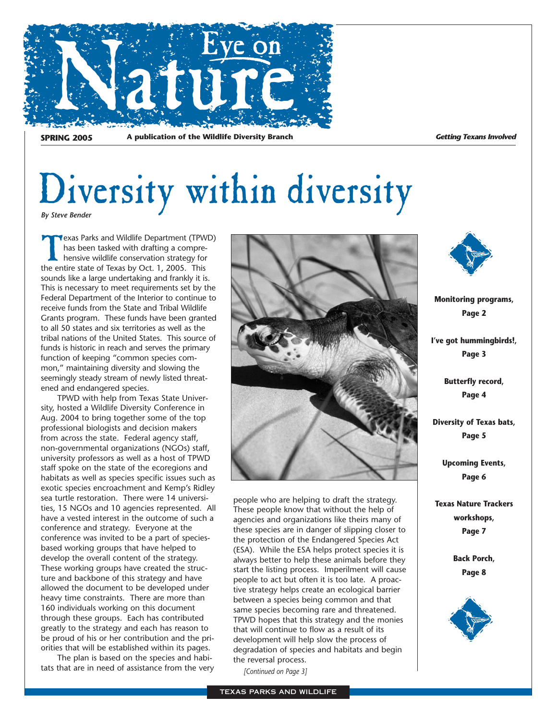

**SPRING 2005** A publication of the Wildlife Diversity Branch **Getting Texans Involved** 

### Diversity within diversity *By Steve Bender*

**Texas Parks and Wildlife Department (TPWD)** has been tasked with drafting a comprehensive wildlife conservation strategy for the entire state of Texas by Oct. 1, 2005. This sounds like a large undertaking and frankly it is. This is necessary to meet requirements set by the Federal Department of the Interior to continue to receive funds from the State and Tribal Wildlife Grants program. These funds have been granted to all 50 states and six territories as well as the tribal nations of the United States. This source of funds is historic in reach and serves the primary function of keeping "common species common," maintaining diversity and slowing the seemingly steady stream of newly listed threatened and endangered species.

TPWD with help from Texas State University, hosted a Wildlife Diversity Conference in Aug. 2004 to bring together some of the top professional biologists and decision makers from across the state. Federal agency staff, non-governmental organizations (NGOs) staff, university professors as well as a host of TPWD staff spoke on the state of the ecoregions and habitats as well as species specific issues such as exotic species encroachment and Kemp's Ridley sea turtle restoration. There were 14 universities, 15 NGOs and 10 agencies represented. All have a vested interest in the outcome of such a conference and strategy. Everyone at the conference was invited to be a part of speciesbased working groups that have helped to develop the overall content of the strategy. These working groups have created the structure and backbone of this strategy and have allowed the document to be developed under heavy time constraints. There are more than 160 individuals working on this document through these groups. Each has contributed greatly to the strategy and each has reason to be proud of his or her contribution and the priorities that will be established within its pages.

The plan is based on the species and habitats that are in need of assistance from the very



people who are helping to draft the strategy. These people know that without the help of agencies and organizations like theirs many of these species are in danger of slipping closer to the protection of the Endangered Species Act (ESA). While the ESA helps protect species it is always better to help these animals before they start the listing process. Imperilment will cause people to act but often it is too late. A proactive strategy helps create an ecological barrier between a species being common and that same species becoming rare and threatened. TPWD hopes that this strategy and the monies that will continue to flow as a result of its development will help slow the process of degradation of species and habitats and begin the reversal process.

*[Continued on Page 3]*

**Monitoring programs, Page 2**

**I've got hummingbirds!, Page 3**

> **Butterfly record, Page 4**

**Diversity of Texas bats, Page 5**

> **Upcoming Events, Page 6**

**Texas Nature Trackers workshops, Page 7**

> **Back Porch, Page 8**

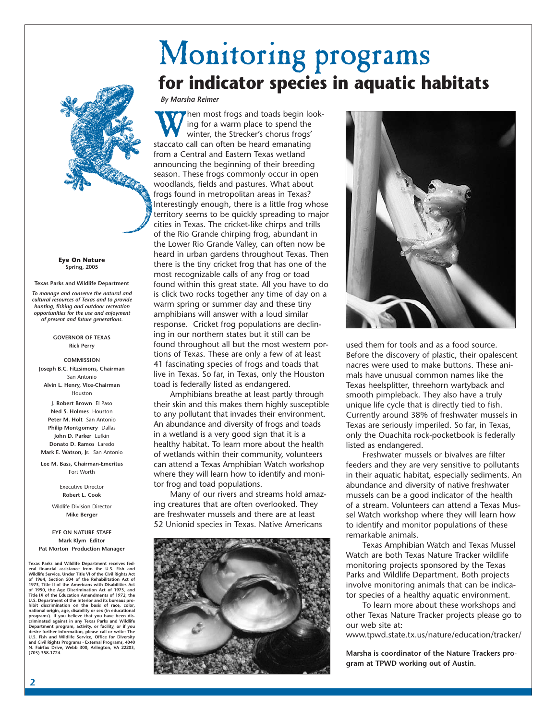## Monitoring programs **for indicator species in aquatic habitats**

*By Marsha Reimer*

hen most frogs and toads begin looking for a warm place to spend the winter, the Strecker's chorus frogs' staccato call can often be heard emanating from a Central and Eastern Texas wetland announcing the beginning of their breeding season. These frogs commonly occur in open woodlands, fields and pastures. What about frogs found in metropolitan areas in Texas? Interestingly enough, there is a little frog whose territory seems to be quickly spreading to major cities in Texas. The cricket-like chirps and trills of the Rio Grande chirping frog, abundant in the Lower Rio Grande Valley, can often now be heard in urban gardens throughout Texas. Then there is the tiny cricket frog that has one of the most recognizable calls of any frog or toad found within this great state. All you have to do is click two rocks together any time of day on a warm spring or summer day and these tiny amphibians will answer with a loud similar response. Cricket frog populations are declining in our northern states but it still can be found throughout all but the most western portions of Texas. These are only a few of at least 41 fascinating species of frogs and toads that live in Texas. So far, in Texas, only the Houston toad is federally listed as endangered.

Amphibians breathe at least partly through their skin and this makes them highly susceptible to any pollutant that invades their environment. An abundance and diversity of frogs and toads in a wetland is a very good sign that it is a healthy habitat. To learn more about the health of wetlands within their community, volunteers can attend a Texas Amphibian Watch workshop where they will learn how to identify and monitor frog and toad populations.

Many of our rivers and streams hold amazing creatures that are often overlooked. They are freshwater mussels and there are at least 52 Unionid species in Texas. Native Americans





used them for tools and as a food source. Before the discovery of plastic, their opalescent nacres were used to make buttons. These animals have unusual common names like the Texas heelsplitter, threehorn wartyback and smooth pimpleback. They also have a truly unique life cycle that is directly tied to fish. Currently around 38% of freshwater mussels in Texas are seriously imperiled. So far, in Texas, only the Ouachita rock-pocketbook is federally listed as endangered.

Freshwater mussels or bivalves are filter feeders and they are very sensitive to pollutants in their aquatic habitat, especially sediments. An abundance and diversity of native freshwater mussels can be a good indicator of the health of a stream. Volunteers can attend a Texas Mussel Watch workshop where they will learn how to identify and monitor populations of these remarkable animals.

Texas Amphibian Watch and Texas Mussel Watch are both Texas Nature Tracker wildlife monitoring projects sponsored by the Texas Parks and Wildlife Department. Both projects involve monitoring animals that can be indicator species of a healthy aquatic environment.

To learn more about these workshops and other Texas Nature Tracker projects please go to our web site at:

www.tpwd.state.tx.us/nature/education/tracker/

**Marsha is coordinator of the Nature Trackers program at TPWD working out of Austin.**

**Eye On Nature Spring, 2005**

**Texas Parks and Wildlife Department** *To manage and conserve the natural and cultural resources of Texas and to provide hunting, fishing and outdoor recreation opportunities for the use and enjoyment of present and future generations.*

#### **GOVERNOR OF TEXAS Rick Perry**

**COMMISSION Joseph B.C. Fitzsimons, Chairman** San Antonio **Alvin L. Henry, Vice-Chairman** Houston **J. Robert Brown** El Paso **Ned S. Holmes** Houston **Peter M. Holt** San Antonio **Philip Montgomery** Dallas **John D. Parker** Lufkin **Donato D. Ramos** Laredo **Mark E. Watson, Jr.** San Antonio

**Lee M. Bass, Chairman-Emeritus**  Fort Worth

> Executive Director **Robert L. Cook**

Wildlife Division Director **Mike Berger**

#### **EYE ON NATURE STAFF Mark Klym Editor**

**Pat Morton Production Manager**

**Texas Parks and Wildlife Department receives federal financial assistance from the U.S. Fish and Wildlife Service. Under Title VI of the Civil Rights Act of 1964, Section 504 of the Rehabilitation Act of 1973, Title II of the Americans with Disabilities Act of 1990, the Age Discrimination Act of 1975, and Title IX of the Education Amendments of 1972, the U.S. Department of the Interior and its bureaus pro**hibit discrimination on the basis of race, color,<br>national origin, age, disability or sex (in educational<br>programs). If you believe that you have been dis-<br>criminated against in any Texas Parks and Wildlife<br>Department prog **desire further information, please call or write: The U.S. Fish and Wildlife Service, Office for Diversity and Civil Rights Programs - External Programs, 4040 N. Fairfax Drive, Webb 300, Arlington, VA 22203, (703) 358-1724.**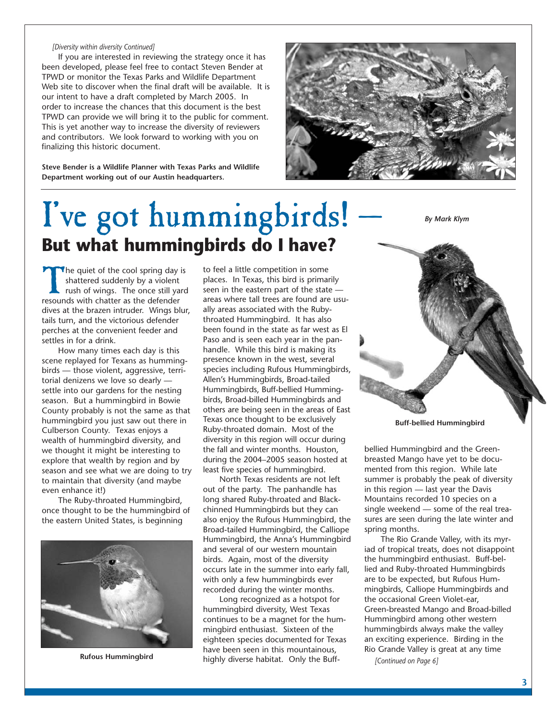#### *[Diversity within diversity Continued]*

If you are interested in reviewing the strategy once it has been developed, please feel free to contact Steven Bender at TPWD or monitor the Texas Parks and Wildlife Department Web site to discover when the final draft will be available. It is our intent to have a draft completed by March 2005. In order to increase the chances that this document is the best TPWD can provide we will bring it to the public for comment. This is yet another way to increase the diversity of reviewers and contributors. We look forward to working with you on finalizing this historic document.

**Steve Bender is a Wildlife Planner with Texas Parks and Wildlife Department working out of our Austin headquarters.**



## I've got hummingbirds! **But what hummingbirds do I have?**

*By Mark Klym*

The quiet of the cool spring day is<br>shattered suddenly by a violent<br>rush of wings. The once still yard<br>resounds with chatter as the defender shattered suddenly by a violent rush of wings. The once still yard dives at the brazen intruder. Wings blur, tails turn, and the victorious defender perches at the convenient feeder and settles in for a drink.

How many times each day is this scene replayed for Texans as hummingbirds — those violent, aggressive, territorial denizens we love so dearly settle into our gardens for the nesting season. But a hummingbird in Bowie County probably is not the same as that hummingbird you just saw out there in Culberson County. Texas enjoys a wealth of hummingbird diversity, and we thought it might be interesting to explore that wealth by region and by season and see what we are doing to try to maintain that diversity (and maybe even enhance it!)

The Ruby-throated Hummingbird, once thought to be the hummingbird of the eastern United States, is beginning



**Rufous Hummingbird**

to feel a little competition in some places. In Texas, this bird is primarily seen in the eastern part of the state areas where tall trees are found are usually areas associated with the Rubythroated Hummingbird. It has also been found in the state as far west as El Paso and is seen each year in the panhandle. While this bird is making its presence known in the west, several species including Rufous Hummingbirds, Allen's Hummingbirds, Broad-tailed Hummingbirds, Buff-bellied Hummingbirds, Broad-billed Hummingbirds and others are being seen in the areas of East Texas once thought to be exclusively Ruby-throated domain. Most of the diversity in this region will occur during the fall and winter months. Houston, during the 2004–2005 season hosted at least five species of hummingbird.

North Texas residents are not left out of the party. The panhandle has long shared Ruby-throated and Blackchinned Hummingbirds but they can also enjoy the Rufous Hummingbird, the Broad-tailed Hummingbird, the Calliope Hummingbird, the Anna's Hummingbird and several of our western mountain birds. Again, most of the diversity occurs late in the summer into early fall, with only a few hummingbirds ever recorded during the winter months.

Long recognized as a hotspot for hummingbird diversity, West Texas continues to be a magnet for the hummingbird enthusiast. Sixteen of the eighteen species documented for Texas have been seen in this mountainous, highly diverse habitat. Only the Buff-



bellied Hummingbird and the Greenbreasted Mango have yet to be documented from this region. While late summer is probably the peak of diversity in this region — last year the Davis Mountains recorded 10 species on a single weekend — some of the real treasures are seen during the late winter and spring months.

The Rio Grande Valley, with its myriad of tropical treats, does not disappoint the hummingbird enthusiast. Buff-bellied and Ruby-throated Hummingbirds are to be expected, but Rufous Hummingbirds, Calliope Hummingbirds and the occasional Green Violet-ear, Green-breasted Mango and Broad-billed Hummingbird among other western hummingbirds always make the valley an exciting experience. Birding in the Rio Grande Valley is great at any time

*[Continued on Page 6]*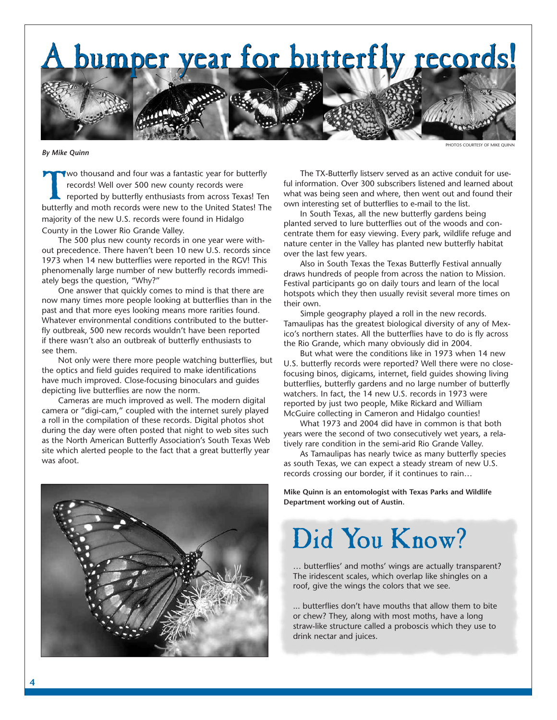A bumper year for butterfly records! A bumper year for butterfly records!

*By Mike Quinn*

PHOTOS COURTESY OF MIKE OUINN

Vwo thousand and four was a fantastic year for butterfly records! Well over 500 new county records were reported by butterfly enthusiasts from across Texas! Ten butterfly and moth records were new to the United States! The majority of the new U.S. records were found in Hidalgo County in the Lower Rio Grande Valley.

The 500 plus new county records in one year were without precedence. There haven't been 10 new U.S. records since 1973 when 14 new butterflies were reported in the RGV! This phenomenally large number of new butterfly records immediately begs the question, "Why?"

One answer that quickly comes to mind is that there are now many times more people looking at butterflies than in the past and that more eyes looking means more rarities found. Whatever environmental conditions contributed to the butterfly outbreak, 500 new records wouldn't have been reported if there wasn't also an outbreak of butterfly enthusiasts to see them.

Not only were there more people watching butterflies, but the optics and field guides required to make identifications have much improved. Close-focusing binoculars and guides depicting live butterflies are now the norm.

Cameras are much improved as well. The modern digital camera or "digi-cam," coupled with the internet surely played a roll in the compilation of these records. Digital photos shot during the day were often posted that night to web sites such as the North American Butterfly Association's South Texas Web site which alerted people to the fact that a great butterfly year was afoot.



The TX-Butterfly listserv served as an active conduit for useful information. Over 300 subscribers listened and learned about what was being seen and where, then went out and found their own interesting set of butterflies to e-mail to the list.

In South Texas, all the new butterfly gardens being planted served to lure butterflies out of the woods and concentrate them for easy viewing. Every park, wildlife refuge and nature center in the Valley has planted new butterfly habitat over the last few years.

Also in South Texas the Texas Butterfly Festival annually draws hundreds of people from across the nation to Mission. Festival participants go on daily tours and learn of the local hotspots which they then usually revisit several more times on their own.

Simple geography played a roll in the new records. Tamaulipas has the greatest biological diversity of any of Mexico's northern states. All the butterflies have to do is fly across the Rio Grande, which many obviously did in 2004.

But what were the conditions like in 1973 when 14 new U.S. butterfly records were reported? Well there were no closefocusing binos, digicams, internet, field guides showing living butterflies, butterfly gardens and no large number of butterfly watchers. In fact, the 14 new U.S. records in 1973 were reported by just two people, Mike Rickard and William McGuire collecting in Cameron and Hidalgo counties!

What 1973 and 2004 did have in common is that both years were the second of two consecutively wet years, a relatively rare condition in the semi-arid Rio Grande Valley.

As Tamaulipas has nearly twice as many butterfly species as south Texas, we can expect a steady stream of new U.S. records crossing our border, if it continues to rain…

**Mike Quinn is an entomologist with Texas Parks and Wildlife Department working out of Austin.**

## Did You Know?

… butterflies' and moths' wings are actually transparent? The iridescent scales, which overlap like shingles on a roof, give the wings the colors that we see.

... butterflies don't have mouths that allow them to bite or chew? They, along with most moths, have a long straw-like structure called a proboscis which they use to drink nectar and juices.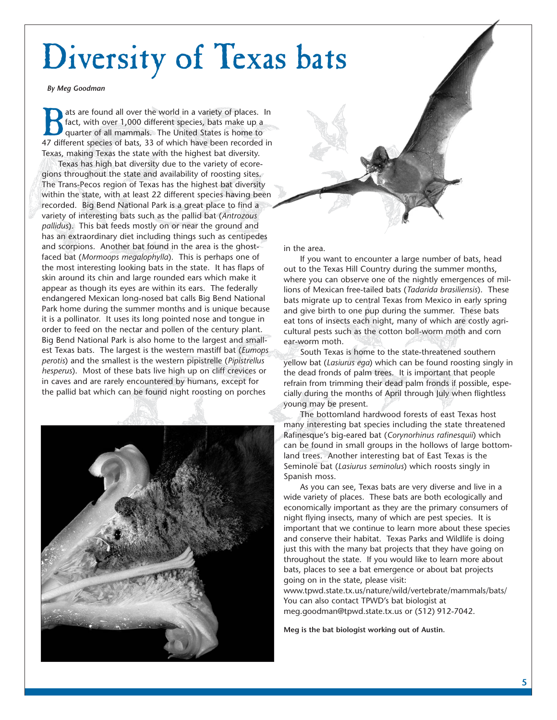# Diversity of Texas bats

*By Meg Goodman*

ats are found all over the world in a variety of places. In fact, with over 1,000 different species, bats make up a quarter of all mammals. The United States is home to 47 different species of bats. 33 of which have been r fact, with over 1,000 different species, bats make up a quarter of all mammals. The United States is home to 47 different species of bats, 33 of which have been recorded in Texas, making Texas the state with the highest bat diversity.

Texas has high bat diversity due to the variety of ecoregions throughout the state and availability of roosting sites. The Trans-Pecos region of Texas has the highest bat diversity within the state, with at least 22 different species having been recorded. Big Bend National Park is a great place to find a variety of interesting bats such as the pallid bat (*Antrozous pallidus*). This bat feeds mostly on or near the ground and has an extraordinary diet including things such as centipedes and scorpions. Another bat found in the area is the ghostfaced bat (*Mormoops megalophylla*). This is perhaps one of the most interesting looking bats in the state. It has flaps of skin around its chin and large rounded ears which make it appear as though its eyes are within its ears. The federally endangered Mexican long-nosed bat calls Big Bend National Park home during the summer months and is unique because it is a pollinator. It uses its long pointed nose and tongue in order to feed on the nectar and pollen of the century plant. Big Bend National Park is also home to the largest and smallest Texas bats. The largest is the western mastiff bat (*Eumops perotis*) and the smallest is the western pipistrelle (*Pipistrellus hesperus*). Most of these bats live high up on cliff crevices or in caves and are rarely encountered by humans, except for the pallid bat which can be found night roosting on porches





in the area.

If you want to encounter a large number of bats, head out to the Texas Hill Country during the summer months, where you can observe one of the nightly emergences of millions of Mexican free-tailed bats (*Tadarida brasiliensis*). These bats migrate up to central Texas from Mexico in early spring and give birth to one pup during the summer. These bats eat tons of insects each night, many of which are costly agricultural pests such as the cotton boll-worm moth and corn ear-worm moth.

South Texas is home to the state-threatened southern yellow bat (*Lasiurus ega*) which can be found roosting singly in the dead fronds of palm trees. It is important that people refrain from trimming their dead palm fronds if possible, especially during the months of April through July when flightless young may be present.

The bottomland hardwood forests of east Texas host many interesting bat species including the state threatened Rafinesque's big-eared bat (*Corynorhinus rafinesquii*) which can be found in small groups in the hollows of large bottomland trees. Another interesting bat of East Texas is the Seminole bat (*Lasiurus seminolus*) which roosts singly in Spanish moss.

As you can see, Texas bats are very diverse and live in a wide variety of places. These bats are both ecologically and economically important as they are the primary consumers of night flying insects, many of which are pest species. It is important that we continue to learn more about these species and conserve their habitat. Texas Parks and Wildlife is doing just this with the many bat projects that they have going on throughout the state. If you would like to learn more about bats, places to see a bat emergence or about bat projects going on in the state, please visit:

www.tpwd.state.tx.us/nature/wild/vertebrate/mammals/bats/ You can also contact TPWD's bat biologist at meg.goodman@tpwd.state.tx.us or (512) 912-7042.

**Meg is the bat biologist working out of Austin.**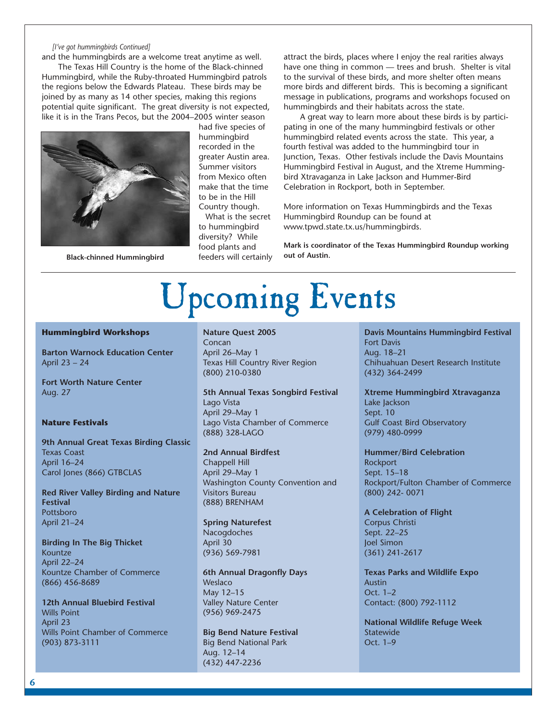#### *[I've got hummingbirds Continued]*

and the hummingbirds are a welcome treat anytime as well. The Texas Hill Country is the home of the Black-chinned Hummingbird, while the Ruby-throated Hummingbird patrols the regions below the Edwards Plateau. These birds may be joined by as many as 14 other species, making this regions potential quite significant. The great diversity is not expected, like it is in the Trans Pecos, but the 2004–2005 winter season



had five species of hummingbird recorded in the greater Austin area. Summer visitors from Mexico often make that the time to be in the Hill Country though.

What is the secret to hummingbird diversity? While food plants and feeders will certainly Black-chinned Hummingbird **out of Austined Hummingbird out of Austin.** 

attract the birds, places where I enjoy the real rarities always have one thing in common — trees and brush. Shelter is vital to the survival of these birds, and more shelter often means more birds and different birds. This is becoming a significant message in publications, programs and workshops focused on hummingbirds and their habitats across the state.

A great way to learn more about these birds is by participating in one of the many hummingbird festivals or other hummingbird related events across the state. This year, a fourth festival was added to the hummingbird tour in Junction, Texas. Other festivals include the Davis Mountains Hummingbird Festival in August, and the Xtreme Hummingbird Xtravaganza in Lake Jackson and Hummer-Bird Celebration in Rockport, both in September.

More information on Texas Hummingbirds and the Texas Hummingbird Roundup can be found at www.tpwd.state.tx.us/hummingbirds.

**Mark is coordinator of the Texas Hummingbird Roundup working**

# Upcoming Events

#### **Hummingbird Workshops**

**Barton Warnock Education Center** April 23 – 24

**Fort Worth Nature Center** Aug. 27

#### **Nature Festivals**

**9th Annual Great Texas Birding Classic** Texas Coast April 16–24 Carol Jones (866) GTBCLAS

**Red River Valley Birding and Nature Festival** Pottsboro April 21–24

**Birding In The Big Thicket** Kountze April 22–24 Kountze Chamber of Commerce (866) 456-8689

**12th Annual Bluebird Festival** Wills Point April 23 Wills Point Chamber of Commerce (903) 873-3111

#### **Nature Quest 2005**

Concan April 26–May 1 Texas Hill Country River Region (800) 210-0380

#### **5th Annual Texas Songbird Festival** Lago Vista

April 29–May 1 Lago Vista Chamber of Commerce (888) 328-LAGO

#### **2nd Annual Birdfest**

Chappell Hill April 29–May 1 Washington County Convention and Visitors Bureau (888) BRENHAM

#### **Spring Naturefest**

Nacogdoches April 30 (936) 569-7981

#### **6th Annual Dragonfly Days** Weslaco May 12–15

Valley Nature Center (956) 969-2475

**Big Bend Nature Festival** Big Bend National Park Aug. 12–14 (432) 447-2236

**Davis Mountains Hummingbird Festival** Fort Davis Aug. 18–21 Chihuahuan Desert Research Institute (432) 364-2499

**Xtreme Hummingbird Xtravaganza** Lake Jackson Sept. 10 Gulf Coast Bird Observatory (979) 480-0999

**Hummer/Bird Celebration** Rockport Sept. 15–18 Rockport/Fulton Chamber of Commerce (800) 242- 0071

**A Celebration of Flight** Corpus Christi Sept. 22–25 Joel Simon (361) 241-2617

**Texas Parks and Wildlife Expo** Austin Oct. 1–2 Contact: (800) 792-1112

**National Wildlife Refuge Week Statewide** Oct. 1–9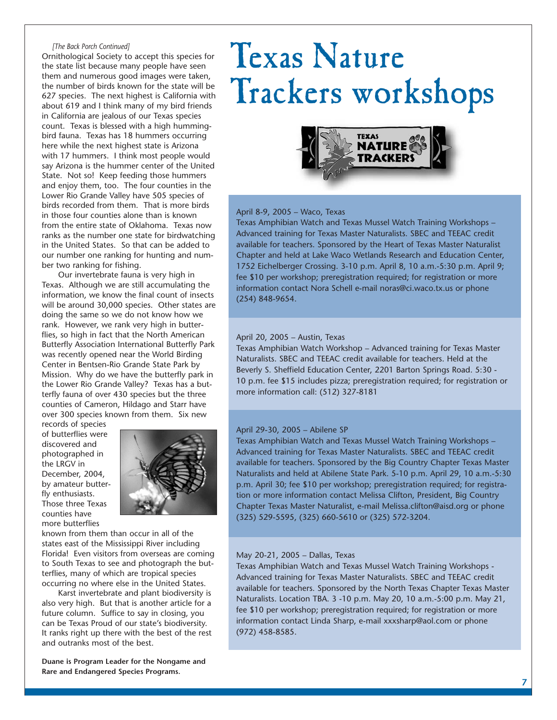#### *[The Back Porch Continued]*

Ornithological Society to accept this species for the state list because many people have seen them and numerous good images were taken, the number of birds known for the state will be 627 species. The next highest is California with about 619 and I think many of my bird friends in California are jealous of our Texas species count. Texas is blessed with a high hummingbird fauna. Texas has 18 hummers occurring here while the next highest state is Arizona with 17 hummers. I think most people would say Arizona is the hummer center of the United State. Not so! Keep feeding those hummers and enjoy them, too. The four counties in the Lower Rio Grande Valley have 505 species of birds recorded from them. That is more birds in those four counties alone than is known from the entire state of Oklahoma. Texas now ranks as the number one state for birdwatching in the United States. So that can be added to our number one ranking for hunting and number two ranking for fishing.

Our invertebrate fauna is very high in Texas. Although we are still accumulating the information, we know the final count of insects will be around 30,000 species. Other states are doing the same so we do not know how we rank. However, we rank very high in butterflies, so high in fact that the North American Butterfly Association International Butterfly Park was recently opened near the World Birding Center in Bentsen-Rio Grande State Park by Mission. Why do we have the butterfly park in the Lower Rio Grande Valley? Texas has a butterfly fauna of over 430 species but the three counties of Cameron, Hildago and Starr have over 300 species known from them. Six new

records of species of butterflies were discovered and photographed in the LRGV in December, 2004, by amateur butterfly enthusiasts. Those three Texas counties have more butterflies



known from them than occur in all of the states east of the Mississippi River including Florida! Even visitors from overseas are coming to South Texas to see and photograph the butterflies, many of which are tropical species occurring no where else in the United States.

Karst invertebrate and plant biodiversity is also very high. But that is another article for a future column. Suffice to say in closing, you can be Texas Proud of our state's biodiversity. It ranks right up there with the best of the rest and outranks most of the best.

**Duane is Program Leader for the Nongame and Rare and Endangered Species Programs.**

## Texas Nature Trackers workshops



#### April 8-9, 2005 – Waco, Texas

Texas Amphibian Watch and Texas Mussel Watch Training Workshops – Advanced training for Texas Master Naturalists. SBEC and TEEAC credit available for teachers. Sponsored by the Heart of Texas Master Naturalist Chapter and held at Lake Waco Wetlands Research and Education Center, 1752 Eichelberger Crossing. 3-10 p.m. April 8, 10 a.m.-5:30 p.m. April 9; fee \$10 per workshop; preregistration required; for registration or more information contact Nora Schell e-mail noras@ci.waco.tx.us or phone (254) 848-9654.

#### April 20, 2005 – Austin, Texas

Texas Amphibian Watch Workshop – Advanced training for Texas Master Naturalists. SBEC and TEEAC credit available for teachers. Held at the Beverly S. Sheffield Education Center, 2201 Barton Springs Road. 5:30 - 10 p.m. fee \$15 includes pizza; preregistration required; for registration or more information call: (512) 327-8181

#### April 29-30, 2005 – Abilene SP

Texas Amphibian Watch and Texas Mussel Watch Training Workshops – Advanced training for Texas Master Naturalists. SBEC and TEEAC credit available for teachers. Sponsored by the Big Country Chapter Texas Master Naturalists and held at Abilene State Park. 5-10 p.m. April 29, 10 a.m.-5:30 p.m. April 30; fee \$10 per workshop; preregistration required; for registration or more information contact Melissa Clifton, President, Big Country Chapter Texas Master Naturalist, e-mail Melissa.clifton@aisd.org or phone (325) 529-5595, (325) 660-5610 or (325) 572-3204.

#### May 20-21, 2005 – Dallas, Texas

Texas Amphibian Watch and Texas Mussel Watch Training Workshops - Advanced training for Texas Master Naturalists. SBEC and TEEAC credit available for teachers. Sponsored by the North Texas Chapter Texas Master Naturalists. Location TBA. 3 -10 p.m. May 20, 10 a.m.-5:00 p.m. May 21, fee \$10 per workshop; preregistration required; for registration or more information contact Linda Sharp, e-mail xxxsharp@aol.com or phone (972) 458-8585.